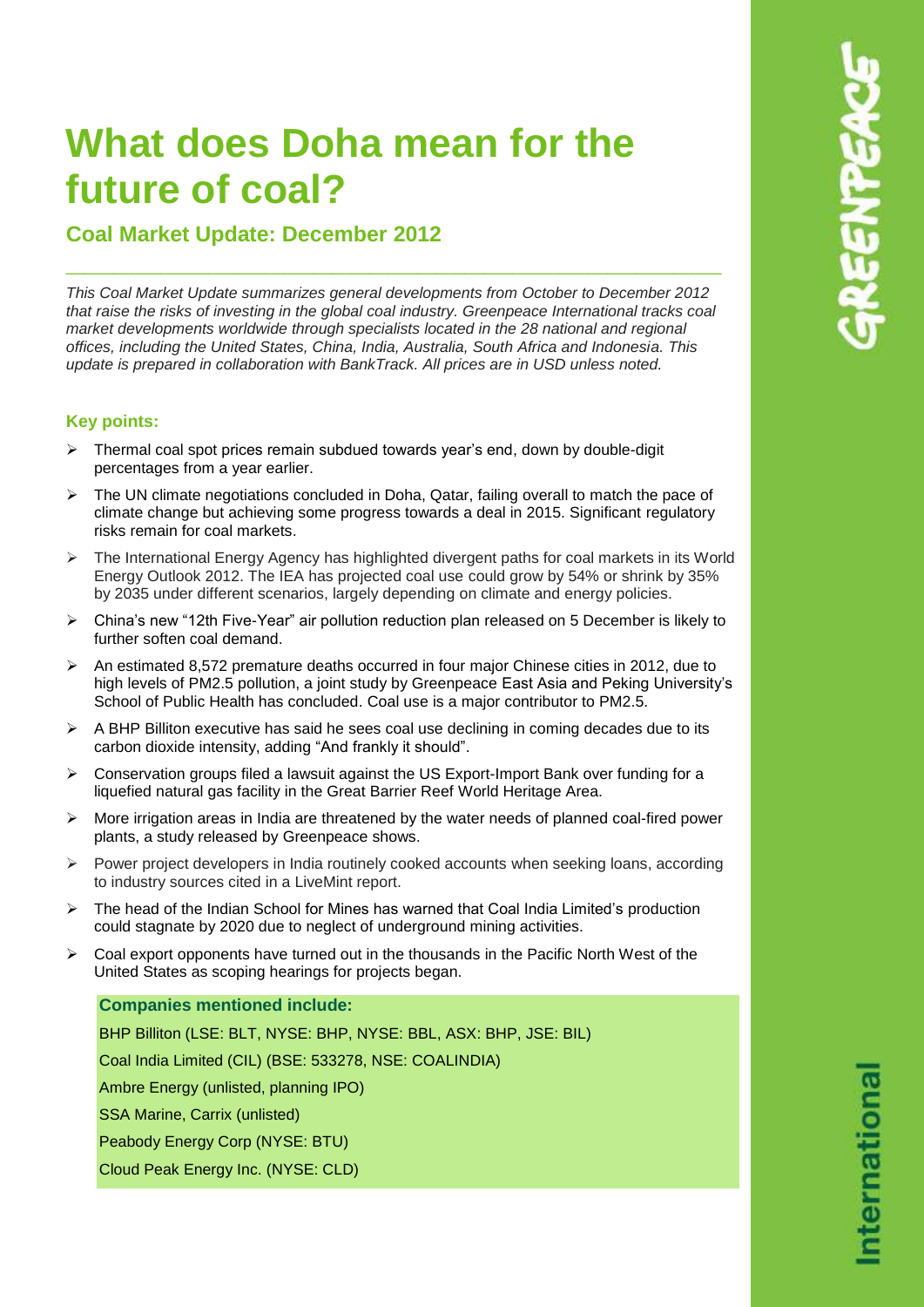# **What does Doha mean for the future of coal?**

**Coal Market Update: December 2012**

*This Coal Market Update summarizes general developments from October to December 2012 that raise the risks of investing in the global coal industry. Greenpeace International tracks coal market developments worldwide through specialists located in the 28 national and regional offices, including the United States, China, India, Australia, South Africa and Indonesia. This update is prepared in collaboration with BankTrack. All prices are in USD unless noted.*

\_\_\_\_\_\_\_\_\_\_\_\_\_\_\_\_\_\_\_\_\_\_\_\_\_\_\_\_\_\_\_\_\_\_\_\_\_\_\_\_\_\_\_\_\_\_\_\_\_\_\_\_\_\_\_\_\_\_\_\_\_\_\_\_\_\_\_\_\_

## **Key points:**

- $\triangleright$  Thermal coal spot prices remain subdued towards year's end, down by double-digit percentages from a year earlier.
- $\triangleright$  The UN climate negotiations concluded in Doha, Qatar, failing overall to match the pace of climate change but achieving some progress towards a deal in 2015. Significant regulatory risks remain for coal markets.
- $\triangleright$  The International Energy Agency has highlighted divergent paths for coal markets in its World Energy Outlook 2012. The IEA has projected coal use could grow by 54% or shrink by 35% by 2035 under different scenarios, largely depending on climate and energy policies.
- China's new "12th Five-Year" air pollution reduction plan released on 5 December is likely to further soften coal demand.
- $\triangleright$  An estimated 8,572 premature deaths occurred in four major Chinese cities in 2012, due to high levels of PM2.5 pollution, a joint study by Greenpeace East Asia and Peking University's School of Public Health has concluded. Coal use is a major contributor to PM2.5.
- $\triangleright$  A BHP Billiton executive has said he sees coal use declining in coming decades due to its carbon dioxide intensity, adding "And frankly it should".
- $\triangleright$  Conservation groups filed a lawsuit against the US Export-Import Bank over funding for a liquefied natural gas facility in the Great Barrier Reef World Heritage Area.
- $\triangleright$  More irrigation areas in India are threatened by the water needs of planned coal-fired power plants, a study released by Greenpeace shows.
- $\triangleright$  Power project developers in India routinely cooked accounts when seeking loans, according to industry sources cited in a LiveMint report.
- $\triangleright$  The head of the Indian School for Mines has warned that Coal India Limited's production could stagnate by 2020 due to neglect of underground mining activities.
- $\triangleright$  Coal export opponents have turned out in the thousands in the Pacific North West of the United States as scoping hearings for projects began.

## **Companies mentioned include:**

BHP Billiton (LSE: BLT, NYSE: BHP, NYSE: BBL, ASX: BHP, JSE: BIL) Coal India Limited (CIL) (BSE: 533278, NSE: COALINDIA) Ambre Energy (unlisted, planning IPO) SSA Marine, Carrix (unlisted) Peabody Energy Corp (NYSE: BTU)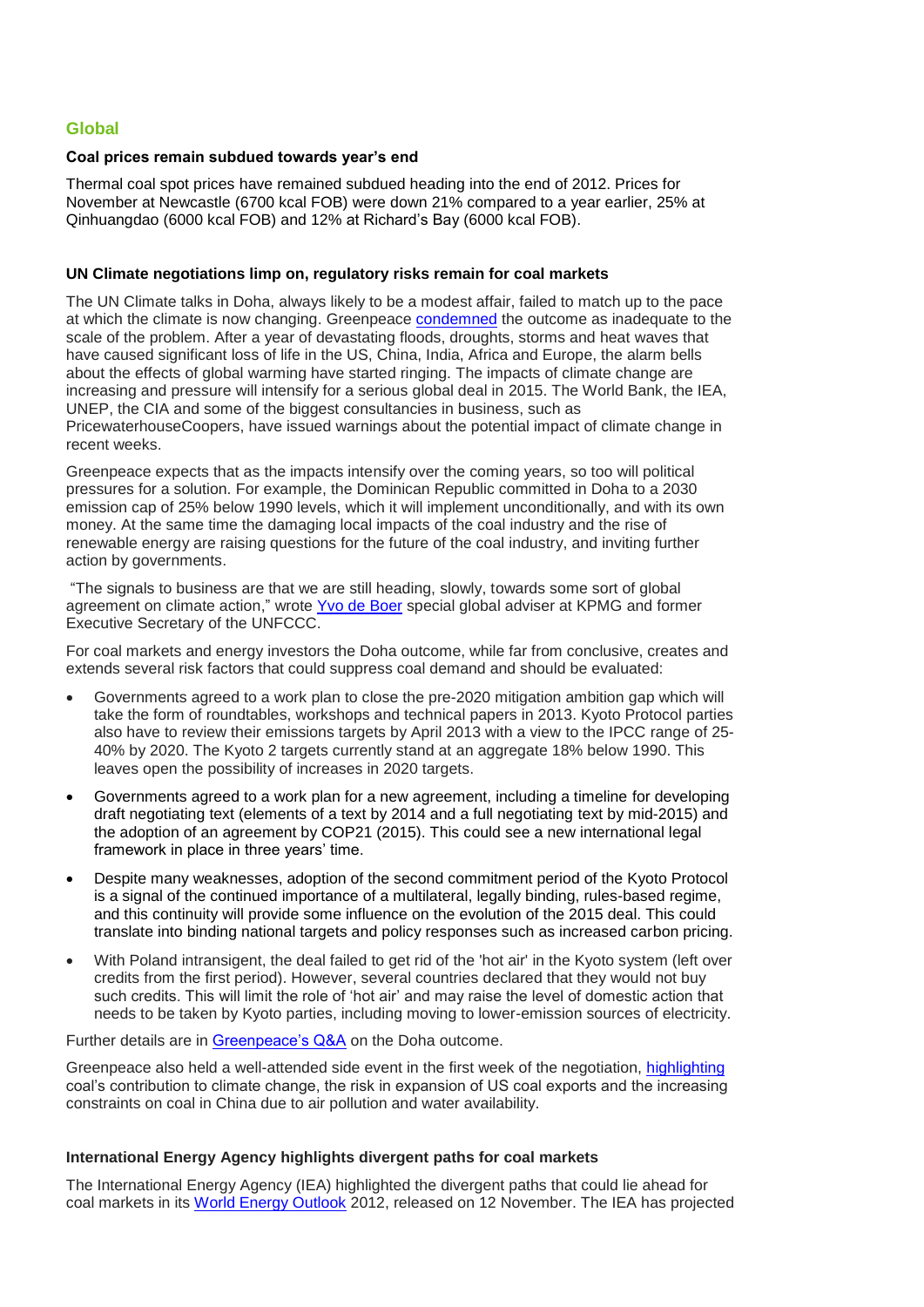## **Global**

#### **Coal prices remain subdued towards year's end**

Thermal coal spot prices have remained subdued heading into the end of 2012. Prices for November at Newcastle (6700 kcal FOB) were down 21% compared to a year earlier, 25% at Qinhuangdao (6000 kcal FOB) and 12% at Richard's Bay (6000 kcal FOB).

#### **UN Climate negotiations limp on, regulatory risks remain for coal markets**

The UN Climate talks in Doha, always likely to be a modest affair, failed to match up to the pace at which the climate is now changing. Greenpeace [condemned](http://www.greenpeace.org/international/en/press/releases/Talks-fail-to-meet-pace-of-climate-change---Greenpeace--/) the outcome as inadequate to the scale of the problem. After a year of devastating floods, droughts, storms and heat waves that have caused significant loss of life in the US, China, India, Africa and Europe, the alarm bells about the effects of global warming have started ringing. The impacts of climate change are increasing and pressure will intensify for a serious global deal in 2015. The World Bank, the IEA, UNEP, the CIA and some of the biggest consultancies in business, such as PricewaterhouseCoopers, have issued warnings about the potential impact of climate change in recent weeks.

Greenpeace expects that as the impacts intensify over the coming years, so too will political pressures for a solution. For example, the Dominican Republic committed in Doha to a 2030 emission cap of 25% below 1990 levels, which it will implement unconditionally, and with its own money. At the same time the damaging local impacts of the coal industry and the rise of renewable energy are raising questions for the future of the coal industry, and inviting further action by governments.

"The signals to business are that we are still heading, slowly, towards some sort of global agreement on climate action," wrote [Yvo de Boer](http://www.guardian.co.uk/sustainable-business/blog/doha-climate-talks-kyoto-protocol) special global adviser at KPMG and former Executive Secretary of the UNFCCC.

For coal markets and energy investors the Doha outcome, while far from conclusive, creates and extends several risk factors that could suppress coal demand and should be evaluated:

- Governments agreed to a work plan to close the pre-2020 mitigation ambition gap which will take the form of roundtables, workshops and technical papers in 2013. Kyoto Protocol parties also have to review their emissions targets by April 2013 with a view to the IPCC range of 25- 40% by 2020. The Kyoto 2 targets currently stand at an aggregate 18% below 1990. This leaves open the possibility of increases in 2020 targets.
- Governments agreed to a work plan for a new agreement, including a timeline for developing draft negotiating text (elements of a text by 2014 and a full negotiating text by mid-2015) and the adoption of an agreement by COP21 (2015). This could see a new international legal framework in place in three years' time.
- Despite many weaknesses, adoption of the second commitment period of the Kyoto Protocol is a signal of the continued importance of a multilateral, legally binding, rules-based regime, and this continuity will provide some influence on the evolution of the 2015 deal. This could translate into binding national targets and policy responses such as increased carbon pricing.
- With Poland intransigent, the deal failed to get rid of the 'hot air' in the Kyoto system (left over credits from the first period). However, several countries declared that they would not buy such credits. This will limit the role of 'hot air' and may raise the level of domestic action that needs to be taken by Kyoto parties, including moving to lower-emission sources of electricity.

Further details are in [Greenpeace's Q&A](http://www.greenpeace.org/international/Global/international/briefings/climate/Doha2012/QandAoutcomeDoha.pdf) on the Doha outcome.

Greenpeace also held a well-attended side event in the first week of the negotiation, [highlighting](http://www.greenpeace.org/international/en/news/Blogs/makingwaves/why-coal-matters-to-doha/blog/43223/) coal's contribution to climate change, the risk in expansion of US coal exports and the increasing constraints on coal in China due to air pollution and water availability.

#### **International Energy Agency highlights divergent paths for coal markets**

The International Energy Agency (IEA) highlighted the divergent paths that could lie ahead for coal markets in its [World Energy Outlook](http://www.worldenergyoutlook.org/) 2012, released on 12 November. The IEA has projected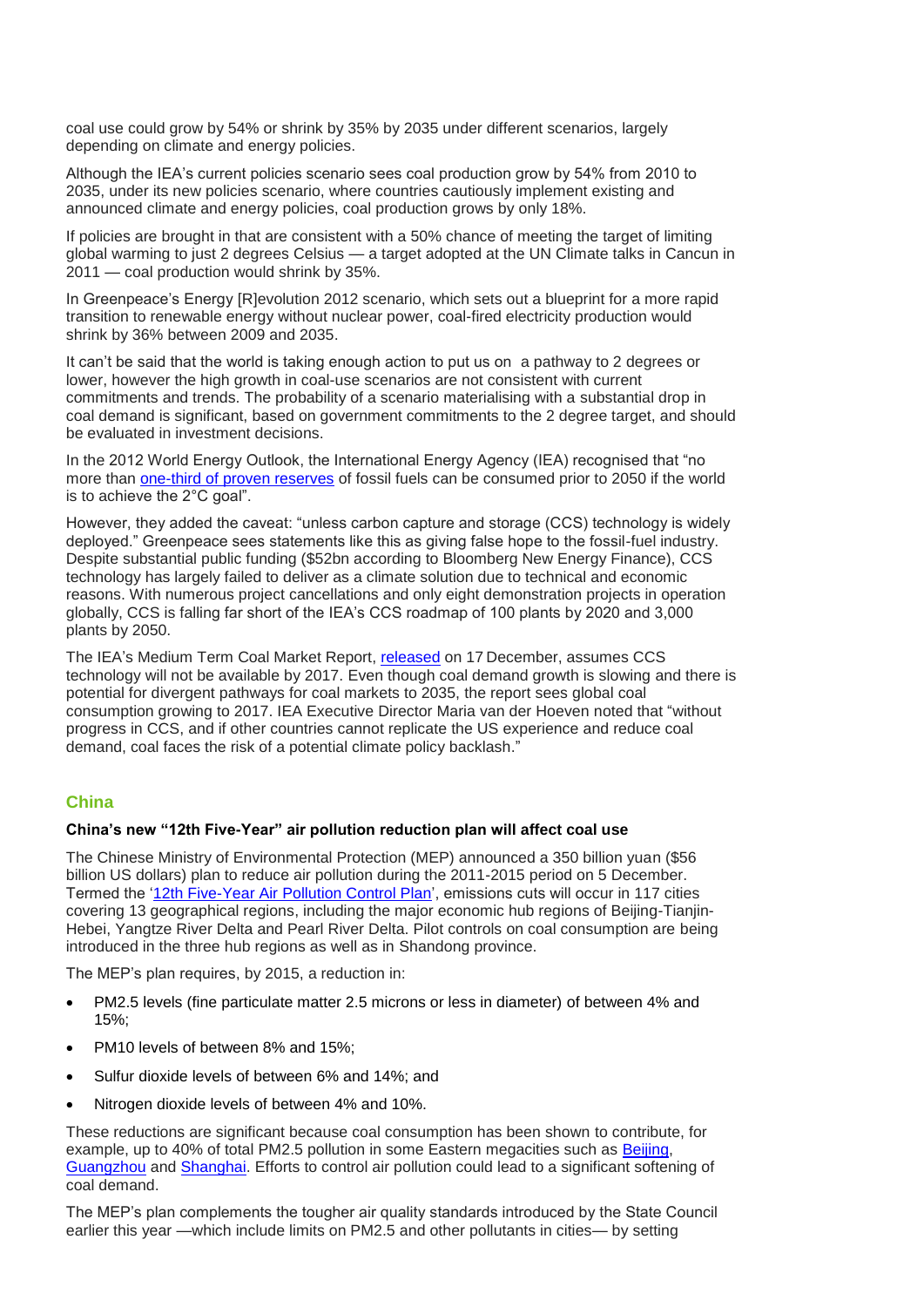coal use could grow by 54% or shrink by 35% by 2035 under different scenarios, largely depending on climate and energy policies.

Although the IEA's current policies scenario sees coal production grow by 54% from 2010 to 2035, under its new policies scenario, where countries cautiously implement existing and announced climate and energy policies, coal production grows by only 18%.

If policies are brought in that are consistent with a 50% chance of meeting the target of limiting global warming to just 2 degrees Celsius — a target adopted at the UN Climate talks in Cancun in 2011 — coal production would shrink by 35%.

In Greenpeace's Energy [R]evolution 2012 scenario, which sets out a blueprint for a more rapid transition to renewable energy without nuclear power, coal-fired electricity production would shrink by 36% between 2009 and 2035.

It can't be said that the world is taking enough action to put us on a pathway to 2 degrees or lower, however the high growth in coal-use scenarios are not consistent with current commitments and trends. The probability of a scenario materialising with a substantial drop in coal demand is significant, based on government commitments to the 2 degree target, and should be evaluated in investment decisions.

In the 2012 World Energy Outlook, the International Energy Agency (IEA) recognised that "no more than [one-third of proven reserves](http://www.iea.org/textbase/npsum/weo2012sum.pdf) of fossil fuels can be consumed prior to 2050 if the world is to achieve the 2°C goal".

However, they added the caveat: "unless carbon capture and storage (CCS) technology is widely deployed." Greenpeace sees statements like this as giving false hope to the fossil-fuel industry. Despite substantial public funding (\$52bn according to Bloomberg New Energy Finance), CCS technology has largely failed to deliver as a climate solution due to technical and economic reasons. With numerous project cancellations and only eight demonstration projects in operation globally, CCS is falling far short of the IEA's CCS roadmap of 100 plants by 2020 and 3,000 plants by 2050.

The IEA's Medium Term Coal Market Report, [released](http://www.iea.org/newsroomandevents/pressreleases/2012/december/name,34441,en.html) on 17 December, assumes CCS technology will not be available by 2017. Even though coal demand growth is slowing and there is potential for divergent pathways for coal markets to 2035, the report sees global coal consumption growing to 2017. IEA Executive Director Maria van der Hoeven noted that "without progress in CCS, and if other countries cannot replicate the US experience and reduce coal demand, coal faces the risk of a potential climate policy backlash."

## **China**

#### **China's new "12th Five-Year" air pollution reduction plan will affect coal use**

The Chinese Ministry of Environmental Protection (MEP) announced a 350 billion yuan (\$56 billion US dollars) plan to reduce air pollution during the 2011-2015 period on 5 December. Termed the ['12th Five-Year Air Pollution Control Plan'](http://www.mep.gov.cn/gkml/hbb/gwy/201212/t20121205_243271.htm), emissions cuts will occur in 117 cities covering 13 geographical regions, including the major economic hub regions of Beijing-Tianjin-Hebei, Yangtze River Delta and Pearl River Delta. Pilot controls on coal consumption are being introduced in the three hub regions as well as in Shandong province.

The MEP's plan requires, by 2015, a reduction in:

- PM2.5 levels (fine particulate matter 2.5 microns or less in diameter) of between 4% and 15%;
- PM10 levels of between 8% and 15%;
- Sulfur dioxide levels of between 6% and 14%; and
- Nitrogen dioxide levels of between 4% and 10%.

These reductions are significant because coal consumption has been shown to contribute, for example, up to 40% of total PM2.5 pollution in some Eastern megacities such as [Beijing,](http://www.sciencedirect.com/science/article/pii/S0360544209000991) [Guangzhou](http://www.sciencedirect.com/science/article/pii/S1352231009004130) and [Shanghai.](http://www.sciencedirect.com/science/article/pii/S0304389407017335) Efforts to control air pollution could lead to a significant softening of coal demand.

The MEP's plan complements the tougher air quality standards introduced by the State Council earlier this year —which include limits on PM2.5 and other pollutants in cities— by setting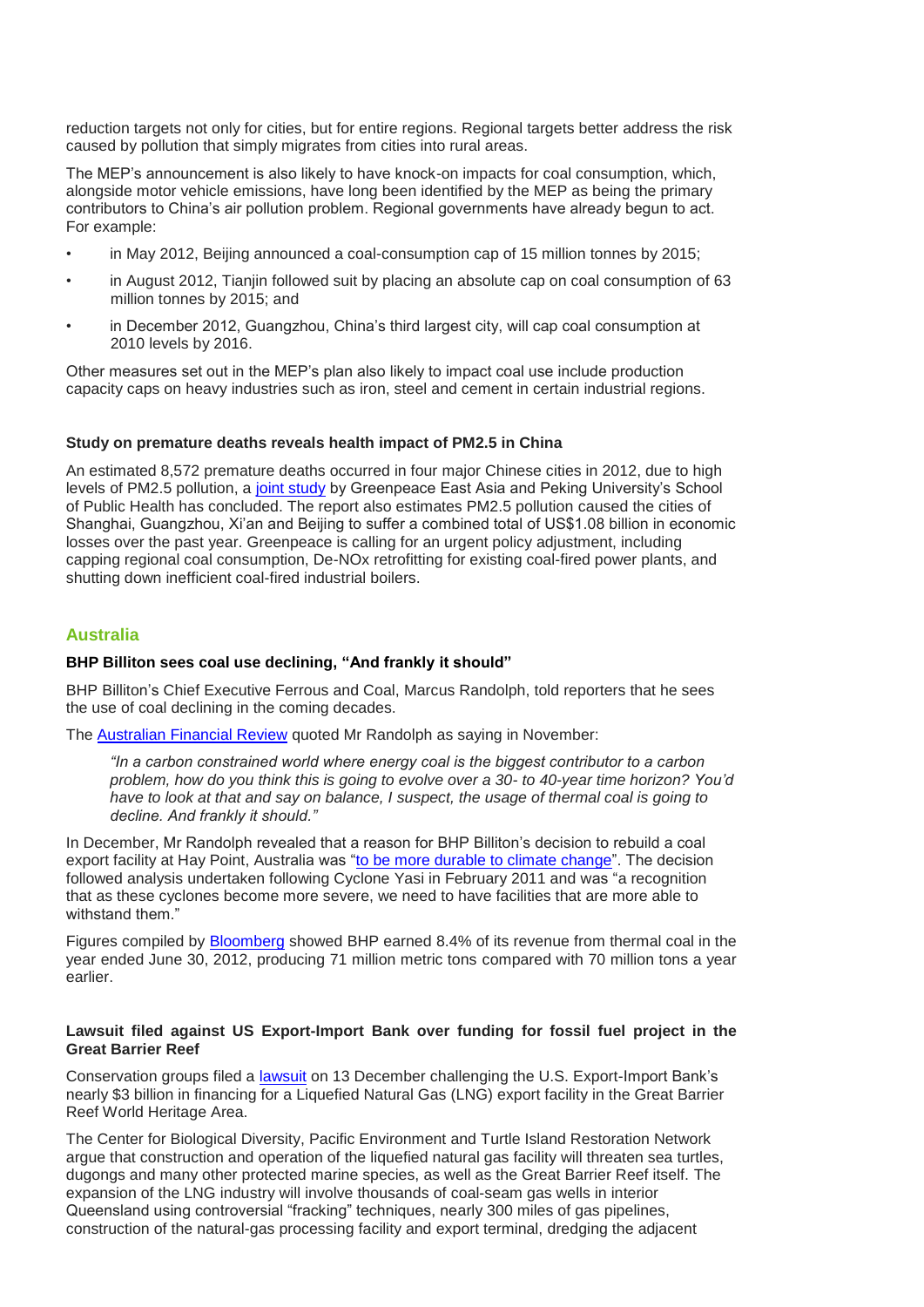reduction targets not only for cities, but for entire regions. Regional targets better address the risk caused by pollution that simply migrates from cities into rural areas.

The MEP's announcement is also likely to have knock-on impacts for coal consumption, which, alongside motor vehicle emissions, have long been identified by the MEP as being the primary contributors to China's air pollution problem. Regional governments have already begun to act. For example:

- in May 2012, Beijing announced a coal-consumption cap of 15 million tonnes by 2015;
- in August 2012, Tianjin followed suit by placing an absolute cap on coal consumption of 63 million tonnes by 2015; and
- in December 2012, Guangzhou, China's third largest city, will cap coal consumption at 2010 levels by 2016.

Other measures set out in the MEP's plan also likely to impact coal use include production capacity caps on heavy industries such as iron, steel and cement in certain industrial regions.

#### **Study on premature deaths reveals health impact of PM2.5 in China**

An estimated 8,572 premature deaths occurred in four major Chinese cities in 2012, due to high levels of PM2.5 pollution, a [joint study](http://www.greenpeace.org/eastasia/press/releases/climate-energy/2012/air-pollution-health-economic/) by Greenpeace East Asia and Peking University's School of Public Health has concluded. The report also estimates PM2.5 pollution caused the cities of Shanghai, Guangzhou, Xi'an and Beijing to suffer a combined total of US\$1.08 billion in economic losses over the past year. Greenpeace is calling for an urgent policy adjustment, including capping regional coal consumption, De-NOx retrofitting for existing coal-fired power plants, and shutting down inefficient coal-fired industrial boilers.

#### **Australia**

#### **BHP Billiton sees coal use declining, "And frankly it should"**

BHP Billiton's Chief Executive Ferrous and Coal, Marcus Randolph, told reporters that he sees the use of coal declining in the coming decades.

The [Australian Financial Review](http://www.afr.com/p/business/companies/future_of_thermal_coal_cools_ZI4ukvtweEnml1MNqzF4RI) quoted Mr Randolph as saying in November:

*"In a carbon constrained world where energy coal is the biggest contributor to a carbon problem, how do you think this is going to evolve over a 30- to 40-year time horizon? You'd have to look at that and say on balance, I suspect, the usage of thermal coal is going to decline. And frankly it should."*

In December, Mr Randolph revealed that a reason for BHP Billiton's decision to rebuild a coal export facility at Hay Point, Australia was ["to be more durable to climate change"](http://www.afr.com/p/business/companies/climate_change_influences_bhp_decision_glrd7CXIhP5SyQtDEzDpvK). The decision followed analysis undertaken following Cyclone Yasi in February 2011 and was "a recognition that as these cyclones become more severe, we need to have facilities that are more able to withstand them."

Figures compiled by [Bloomberg](http://www.bloomberg.com/news/2012-12-03/climate-impact-prompts-bhp-to-cap-spending-on-energy-coal-assets.html) showed BHP earned 8.4% of its revenue from thermal coal in the year ended June 30, 2012, producing 71 million metric tons compared with 70 million tons a year earlier.

#### **Lawsuit filed against US Export-Import Bank over funding for fossil fuel project in the Great Barrier Reef**

Conservation groups filed a [lawsuit](http://www.bloomberg.com/news/2012-12-14/u-s-investment-in-australian-gas-plant-faces-lawsuit.html) on 13 December challenging the U.S. Export-Import Bank's nearly \$3 billion in financing for a Liquefied Natural Gas (LNG) export facility in the Great Barrier Reef World Heritage Area.

The Center for Biological Diversity, Pacific Environment and Turtle Island Restoration Network argue that construction and operation of the liquefied natural gas facility will threaten sea turtles, dugongs and many other protected marine species, as well as the Great Barrier Reef itself. The expansion of the LNG industry will involve thousands of coal-seam gas wells in interior Queensland using controversial "fracking" techniques, nearly 300 miles of gas pipelines, construction of the natural-gas processing facility and export terminal, dredging the adjacent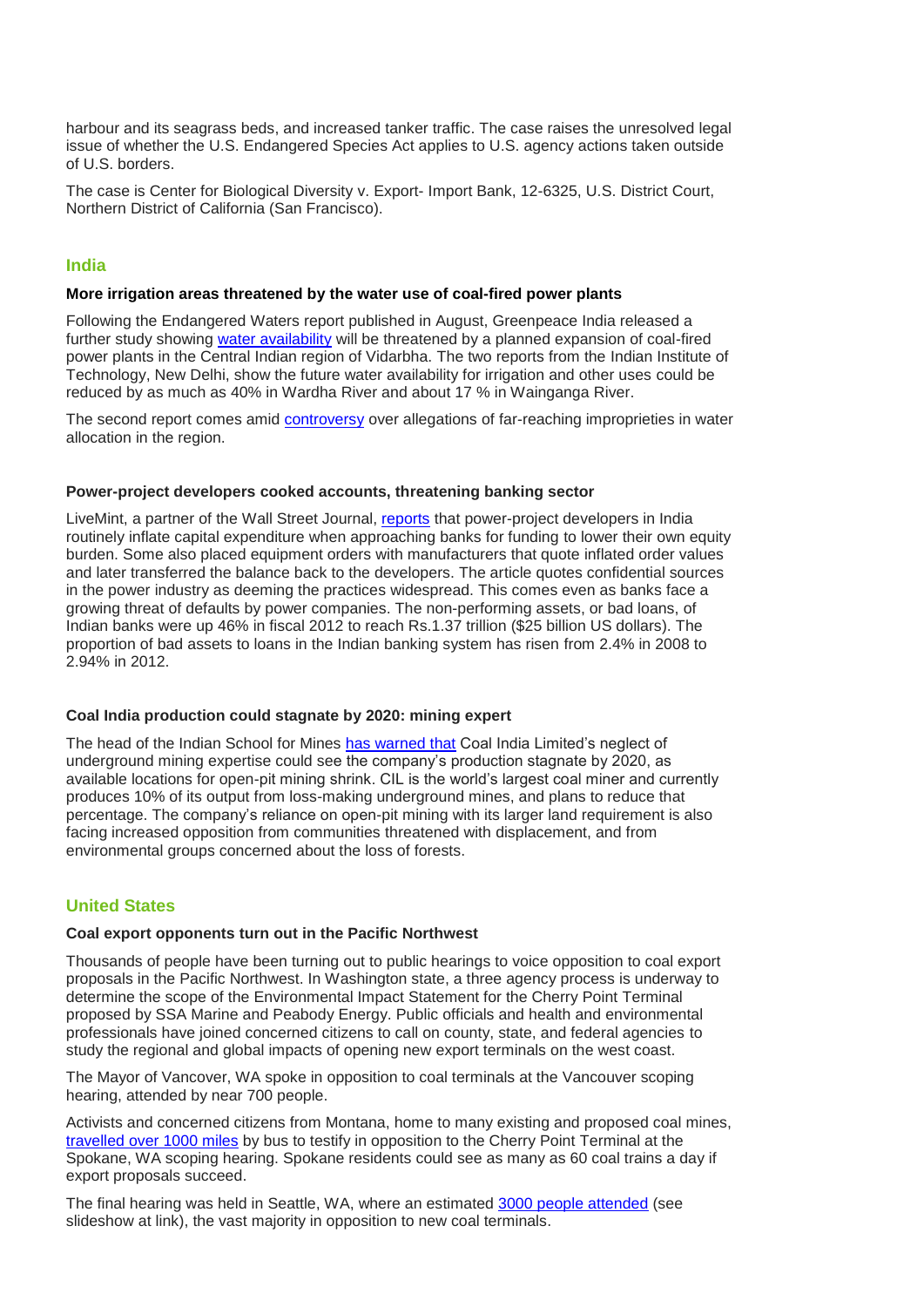harbour and its seagrass beds, and increased tanker traffic. The case raises the unresolved legal issue of whether the U.S. Endangered Species Act applies to U.S. agency actions taken outside of U.S. borders.

The case is Center for Biological Diversity v. Export- Import Bank, 12-6325, U.S. District Court, Northern District of California (San Francisco).

## **India**

#### **More irrigation areas threatened by the water use of coal-fired power plants**

Following the Endangered Waters report published in August, Greenpeace India released a further study showing [water availability](http://www.greenpeace.org/india/en/Press/Water-diversion-to-thermal-power-plants-will-reduce-irrigation-potential-and-worsen-agrarian-crisis-in-Vidarbha-Greenpeace/) will be threatened by a planned expansion of coal-fired power plants in the Central Indian region of Vidarbha. The two reports from the Indian Institute of Technology, New Delhi, show the future water availability for irrigation and other uses could be reduced by as much as 40% in Wardha River and about 17 % in Wainganga River.

The second report comes amid [controversy](http://india.blogs.nytimes.com/2012/12/04/lack-of-water-is-already-sparking-social-and-political-unrest-in-maharashtra-and-greenpeace-says-the-situation-will-get-worse/) over allegations of far-reaching improprieties in water allocation in the region.

#### **Power-project developers cooked accounts, threatening banking sector**

LiveMint, a partner of the Wall Street Journal, [reports](http://www.livemint.com/Industry/9lybdZXjNNZrvvKxvewjZO/Some-power-project-developers-dressed-up-accounts-experts.html) that power-project developers in India routinely inflate capital expenditure when approaching banks for funding to lower their own equity burden. Some also placed equipment orders with manufacturers that quote inflated order values and later transferred the balance back to the developers. The article quotes confidential sources in the power industry as deeming the practices widespread. This comes even as banks face a growing threat of defaults by power companies. The non-performing assets, or bad loans, of Indian banks were up 46% in fiscal 2012 to reach Rs.1.37 trillion (\$25 billion US dollars). The proportion of bad assets to loans in the Indian banking system has risen from 2.4% in 2008 to 2.94% in 2012.

#### **Coal India production could stagnate by 2020: mining expert**

The head of the Indian School for Mines [has warned that](http://articles.chicagotribune.com/2012-10-21/business/sns-rt-us-india-coalbre89k0gx-20121021_1_underground-mines-open-cast-partha-bhattacharyya) Coal India Limited's neglect of underground mining expertise could see the company's production stagnate by 2020, as available locations for open-pit mining shrink. CIL is the world's largest coal miner and currently produces 10% of its output from loss-making underground mines, and plans to reduce that percentage. The company's reliance on open-pit mining with its larger land requirement is also facing increased opposition from communities threatened with displacement, and from environmental groups concerned about the loss of forests.

### **United States**

#### **Coal export opponents turn out in the Pacific Northwest**

Thousands of people have been turning out to public hearings to voice opposition to coal export proposals in the Pacific Northwest. In Washington state, a three agency process is underway to determine the scope of the Environmental Impact Statement for the Cherry Point Terminal proposed by SSA Marine and Peabody Energy. Public officials and health and environmental professionals have joined concerned citizens to call on county, state, and federal agencies to study the regional and global impacts of opening new export terminals on the west coast.

The Mayor of Vancover, WA spoke in opposition to coal terminals at the Vancouver scoping hearing, attended by near 700 people.

Activists and concerned citizens from Montana, home to many existing and proposed coal mines, [travelled over 1000 miles](http://missoulanews.bigskypress.com/IndyBlog/archives/2012/12/11/montanans-bus-1000-miles-for-voice-in-coal-export-debate) by bus to testify in opposition to the Cherry Point Terminal at the Spokane, WA scoping hearing. Spokane residents could see as many as 60 coal trains a day if export proposals succeed.

The final hearing was held in Seattle, WA, where an estimated [3000 people attended](http://www.seattlepi.com/local/connelly/article/Opponents-mob-Seattle-coal-port-hearing-4117162.php#photo-3890548) (see slideshow at link), the vast majority in opposition to new coal terminals.